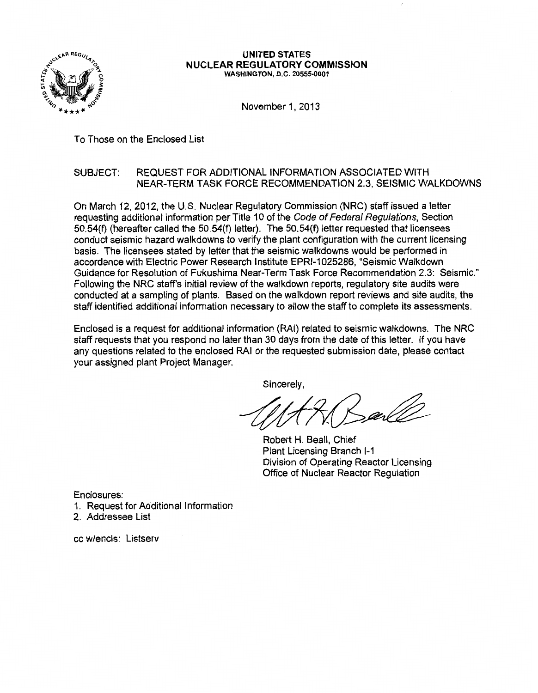

#### UNITED STATES NUCLEAR REGULATORY COMMISSION WASHINGTON, D.C. 20555-0001

November 1, 2013

To Those on the Enclosed List

# SUBJECT: REQUEST FOR ADDITIONAL INFORMATION ASSOCIATED WITH NEAR-TERM TASK FORCE RECOMMENDATION 2.3, SEISMIC WALKDOWNS

On March 12, 2012, the U.S. Nuclear Regulatory Commission (NRC) staff issued a letter requesting additional information per Title 10 of the Code of Federal Regulations, Section 50.54(f) (hereafter called the 50.54(f) letter). The 50.54(f) letter requested that licensees conduct seismic hazard walkdowns to verify the plant configuration with the current licensing basis. The licensees stated by letter that the seismic walkdowns would be performed in accordance with Electric Power Research Institute EPRI-1 025286, "Seismic Walkdown Guidance for Resolution of Fukushima Near-Term Task Force Recommendation 2.3: Seismic." Following the NRC staff's initial review of the walkdown reports, regulatory site audits were conducted at a sampling of plants. Based on the walkdown report reviews and site audits, the staff identified additional information necessary to allow the staff to complete its assessments.

Enclosed is a request for additional information (RAI) related to seismic walkdowns. The NRC staff requests that you respond no later than 30 days from the date of this letter. If you have any questions related to the enclosed RAI or the requested submission date, please contact your assigned plant Project Manager.

Sincerely,

While the requested submission date, please contact<br>Sincerely,<br>Robert H. Beall, Chief

Plant Licensing Branch 1-1 Division of Operating Reactor Licensing Office of Nuclear Reactor Regulation

Enclosures:

- 1. Request for Additional Information
- 2. Addressee List

cc w/encls: Listserv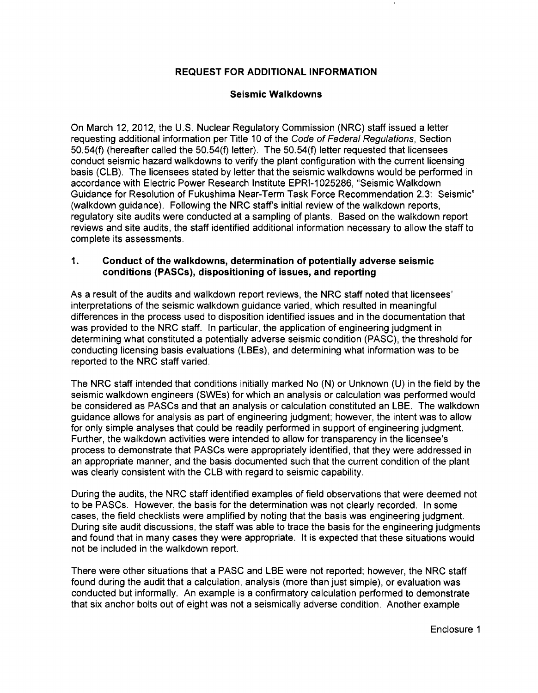# REQUEST FOR ADDITIONAL INFORMATION

## Seismic Walkdowns

On March 12, 2012, the U.S. Nuclear Regulatory Commission (NRC) staff issued a letter requesting additional information per Title 10 of the Code of Federal Regulations, Section 50.54(f) (hereafter called the 50.54(f) letter). The 50.54(f) letter requested that licensees conduct seismic hazard walkdowns to verify the plant configuration with the current licensing basis (CLB). The licensees stated by letter that the seismic walkdowns would be performed in accordance with Electric Power Research Institute EPRI-1025286, "Seismic Walkdown Guidance for Resolution of Fukushima Near-Term Task Force Recommendation 2.3: Seismic" (walkdown guidance). Following the NRC staff's initial review of the walkdown reports, regulatory site audits were conducted at a sampling of plants. Based on the walkdown report reviews and site audits, the staff identified additional information necessary to allow the staff to complete its assessments.

## 1. Conduct of the walkdowns, determination of potentially adverse seismic conditions (PASCs), dispositioning of issues, and reporting

As a result of the audits and walkdown report reviews, the NRC staff noted that licensees' interpretations of the seismic walkdown guidance varied, which resulted in meaningful differences in the process used to disposition identified issues and in the documentation that was provided to the NRC staff. In particular, the application of engineering judgment in determining what constituted a potentially adverse seismic condition (PASC), the threshold for conducting licensing basis evaluations (LBEs), and determining what information was to be reported to the NRC staff varied.

The NRC staff intended that conditions initially marked No (N) or Unknown (U) in the field by the seismic walkdown engineers (SWEs) for which an analysis or calculation was performed would be considered as PASCs and that an analysis or calculation constituted an LBE. The walkdown guidance allows for analysis as part of engineering judgment; however, the intent was to allow for only simple analyses that could be readily performed in support of engineering judgment. Further, the walkdown activities were intended to allow for transparency in the licensee's process to demonstrate that PASCs were appropriately identified, that they were addressed in an appropriate manner, and the basis documented such that the current condition of the plant was clearly consistent with the CLB with regard to seismic capability.

During the audits, the NRC staff identified examples of field observations that were deemed not to be PASCs. However, the basis for the determination was not clearly recorded. In some cases, the field checklists were amplified by noting that the basis was engineering judgment. During site audit discussions, the staff was able to trace the basis for the engineering judgments and found that in many cases they were appropriate. It is expected that these situations would not be included in the walkdown report.

There were other situations that a PASC and LBE were not reported; however, the NRC staff found during the audit that a calculation, analysis (more than just simple), or evaluation was conducted but informally. An example is a confirmatory calculation performed to demonstrate that six anchor bolts out of eight was not a seismically adverse condition. Another example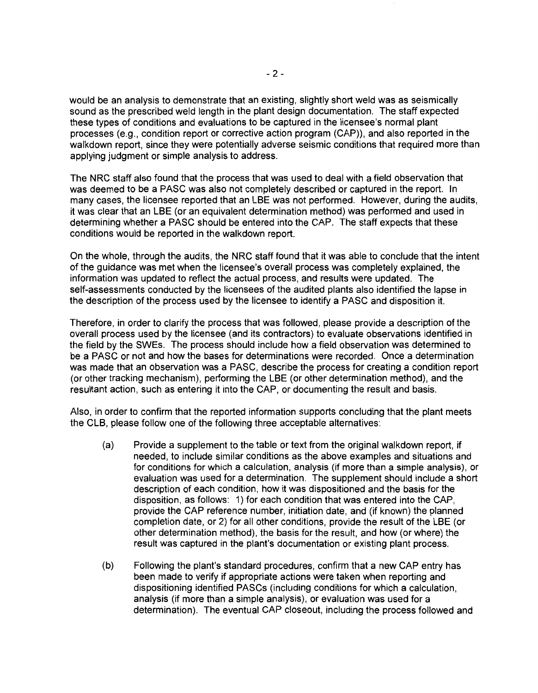would be an analysis to demonstrate that an existing, slightly short weld was as seismically sound as the prescribed weld length in the plant design documentation. The staff expected these types of conditions and evaluations to be captured in the licensee's normal plant processes (e.g., condition report or corrective action program (CAP)), and also reported in the walkdown report, since they were potentially adverse seismic conditions that required more than applying judgment or simple analysis to address.

The NRC staff also found that the process that was used to deal with a field observation that was deemed to be a PASC was also not completely described or captured in the report. In many cases, the licensee reported that an LBE was not performed. However, during the audits, it was clear that an LBE (or an equivalent determination method) was performed and used in determining whether a PASC should be entered into the CAP. The staff expects that these conditions would be reported in the walkdown report.

On the whole, through the audits, the NRC staff found that it was able to conclude that the intent of the guidance was met when the licensee's overall process was completely explained, the information was updated to reflect the actual process, and results were updated. The self-assessments conducted by the licensees of the audited plants also identified the lapse in the description of the process used by the licensee to identify a PASC and disposition it.

Therefore, in order to clarify the process that was followed, please provide a description of the overall process used by the licensee (and its contractors) to evaluate observations identified in the field by the SWEs. The process should include how a field observation was determined to be a PASC or not and how the bases for determinations were recorded. Once a determination was made that an observation was a PASC, describe the process for creating a condition report (or other tracking mechanism), performing the LBE (or other determination method), and the resultant action, such as entering it into the CAP, or documenting the result and basis.

Also, in order to confirm that the reported information supports concluding that the plant meets the CLB, please follow one of the following three acceptable alternatives:

- (a) Provide a supplement to the table or text from the original walkdown report, if needed, to include similar conditions as the above examples and situations and for conditions for which a calculation, analysis (if more than a simple analysis), or evaluation was used for a determination. The supplement should include a short description of each condition, how it was dispositioned and the basis for the disposition, as follows: 1) for each condition that was entered into the CAP, provide the CAP reference number, initiation date, and (if known) the planned completion date, or 2) for all other conditions, provide the result of the LBE (or other determination method), the basis for the result, and how (or where) the result was captured in the plant's documentation or existing plant process.
- (b) Following the plant's standard procedures, confirm that a new CAP entry has been made to verify if appropriate actions were taken when reporting and dispositioning identified PASCs (including conditions for which a calculation, analysis (if more than a simple analysis), or evaluation was used for a determination). The eventual CAP closeout, including the process followed and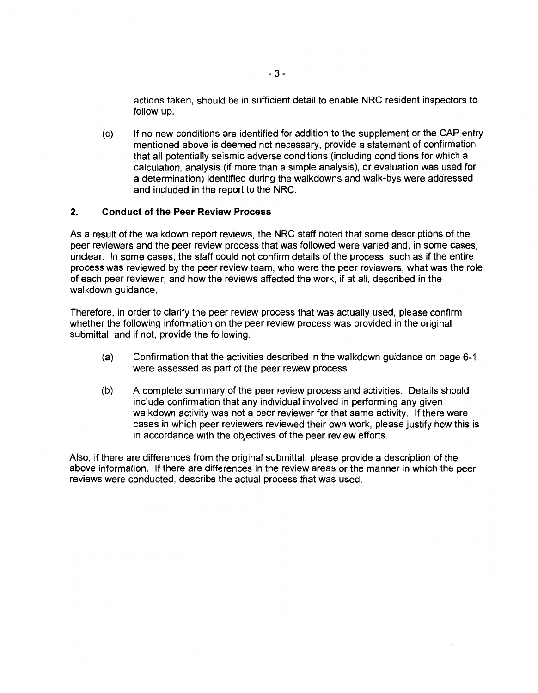actions taken, should be in sufficient detail to enable NRC resident inspectors to follow up.

(c) If no new conditions are identified for addition to the supplement or the CAP entry mentioned above is deemed not necessary, provide a statement of confirmation that all potentially seismic adverse conditions (including conditions for which a calculation, analysis (if more than a simple analysis), or evaluation was used for a determination) identified during the walkdowns and walk-bys were addressed and included in the report to the NRC.

## **2. Conduct of the Peer Review Process**

As a result of the walkdown report reviews, the NRC staff noted that some descriptions of the peer reviewers and the peer review process that was followed were varied and, in some cases, unclear. In some cases, the staff could not confirm details of the process, such as if the entire process was reviewed by the peer review team, who were the peer reviewers, what was the role of each peer reviewer, and how the reviews affected the work, if at all, described in the walkdown guidance.

Therefore, in order to clarify the peer review process that was actually used, please confirm whether the following information on the peer review process was provided in the original submittal, and if not, provide the following.

- (a) Confirmation that the activities described in the walkdown guidance on page 6-1 were assessed as part of the peer review process.
- (b) A complete summary of the peer review process and activities. Details should include confirmation that any individual involved in performing any given walkdown activity was not a peer reviewer for that same activity. If there were cases in which peer reviewers reviewed their own work, please justify how this is in accordance with the objectives of the peer review efforts.

Also, if there are differences from the original submittal, please provide a description of the above information. If there are differences in the review areas or the manner in which the peer reviews were conducted, describe the actual process that was used.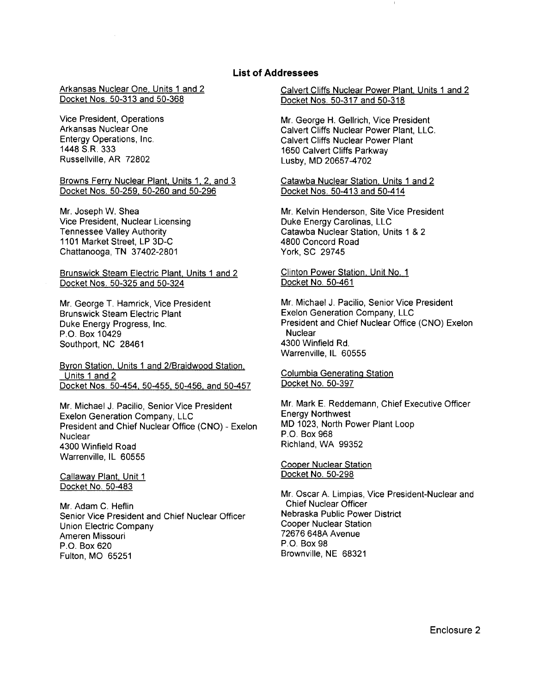### **List of Addressees**

Arkansas Nuclear One. Units 1 and 2 Docket Nos. 50-313 and 50-368

Vice President, Operations Arkansas Nuclear One Entergy Operations, Inc. 1448 S.R. 333 Russellville, AR 72802

Browns Ferry Nuclear Plant. Units 1. 2. and 3 Docket Nos. 50-259. 50-260 and 50-296

Mr. Joseph W. Shea Vice President, Nuclear Licensing Tennessee Valley Authority 1101 Market Street, LP 3D-C Chattanooga, TN 37402-2801

Brunswick Steam Electric Plant. Units 1 and 2 Docket Nos. 50-325 and 50-324

Mr. George T. Hamrick, Vice President Brunswick Steam Electric Plant Duke Energy Progress, Inc. P.O. Box 10429 Southport, NC 28461

Byron Station. Units 1 and 2/Braidwood Station. Units 1 and 2 Docket Nos. 50-454. 50-455. 50-456. and 50-457

Mr. Michael J. Pacilio, Senior Vice President Exelon Generation Company, LLC President and Chief Nuclear Office (CNO) - Exelon **Nuclear** 4300 Winfield Road Warrenville, IL 60555

Callaway Plant. Unit 1 Docket No. 50-483

Mr. Adam C. Heflin Senior Vice President and Chief Nuclear Officer Union Electric Company Ameren Missouri P.O. Box 620 Fulton, MO 65251

Calvert Cliffs Nuclear Power Plant. Units 1 and 2 Docket Nos. 50-317 and 50-318

Mr. George H. Gellrich, Vice President Calvert Cliffs Nuclear Power Plant, LLC. Calvert Cliffs Nuclear Power Plant 1650 Calvert Cliffs Parkway Lusby, MD 20657-4702

Catawba Nuclear Station. Units 1 and 2 Docket Nos. 50-413 and 50-414

Mr. Kelvin Henderson, Site Vice President Duke Energy Carolinas, LLC Catawba Nuclear Station, Units 1 & 2 4800 Concord Road York, SC 29745

Clinton Power Station. Unit No. 1 Docket No. 50-461

Mr. Michael J. Pacilio, Senior Vice President Exelon Generation Company, LLC President and Chief Nuclear Office (CNO) Exelon **Nuclear** 4300 Winfield Rd. Warrenville, IL 60555

Columbia Generating Station Docket No. 50-397

Mr. Mark E. Reddemann, Chief Executive Officer Energy Northwest MD 1023, North Power Plant Loop P.O. Box 968 Richland, WA 99352

Cooper Nuclear Station Docket No. 50-298

Mr. Oscar A. Limpias, Vice President-Nuclear and Chief Nuclear Officer Nebraska Public Power District Cooper Nuclear Station 72676 648A Avenue P.O. Box 98 Brownville, NE 68321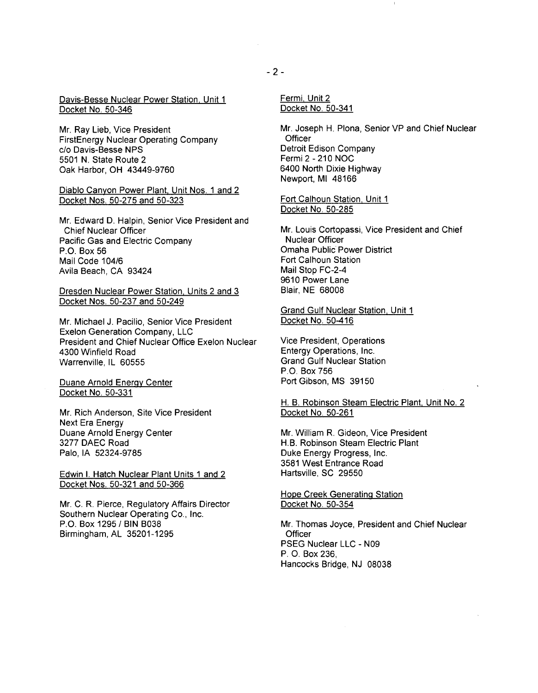Davis-Besse Nuclear Power Station. Unit 1 Docket No. 50-346

Mr. Ray Lieb, Vice President FirstEnergy Nuclear Operating Company c/o Davis-Besse NPS 5501 N. State Route 2 Oak Harbor, OH 43449-9760

### Diablo Canyon Power Plant. Unit Nos. 1 and 2 Docket Nos. 50-275 and 50-323

Mr. Edward D. Halpin, Senior Vice President and Chief Nuclear Officer Pacific Gas and Electric Company P.O. Box 56 Mail Code 104/6 Avila Beach, CA 93424

#### Dresden Nuclear Power Station. Units 2 and 3 Docket Nos. 50-237 and 50-249

Mr. Michael J. Pacilio, Senior Vice President Exelon Generation Company, LLC President and Chief Nuclear Office Exelon Nuclear 4300 Winfield Road Warrenville, IL 60555

Duane Arnold Energy Center Docket No. 50-331

Mr. Rich Anderson, Site Vice President Next Era Energy Duane Arnold Energy Center 3277 DAEC Road Palo, lA 52324-9785

Edwin I. Hatch Nuclear Plant Units 1 and 2 Docket Nos. 50-321 and 50-366

Mr. C. R. Pierce, Regulatory Affairs Director Southern Nuclear Operating Co., Inc. P.O. Box 1295 / BIN B038 Birmingham, AL 35201-1295

Fermi, Unit 2 Docket No. 50-341

Mr. Joseph H. Plona, Senior VP and Chief Nuclear **Officer** Detroit Edison Company Fermi 2- 210 NOC 6400 North Dixie Highway Newport, Ml 48166

Fort Calhoun Station. Unit 1 Docket No. 50-285

Mr. Louis Cortopassi, Vice President and Chief Nuclear Officer Omaha Public Power District Fort Calhoun Station Mail Stop FC-2-4 9610 Power Lane Blair, NE 68008

Grand Gulf Nuclear Station. Unit 1 Docket No. 50-416

Vice President, Operations Entergy Operations, Inc. Grand Gulf Nuclear Station P.O. Box 756 Port Gibson, MS 39150

H. B. Robinson Steam Electric Plant. Unit No. 2 Docket No. 50-261

Mr. William R. Gideon, Vice President H.B. Robinson Steam Electric Plant Duke Energy Progress, Inc. 3581 West Entrance Road Hartsville, SC 29550

Hope Creek Generating Station Docket No. 50-354

Mr. Thomas Joyce, President and Chief Nuclear **Officer** PSEG Nuclear LLC - N09 P. 0. Box 236, Hancocks Bridge, NJ 08038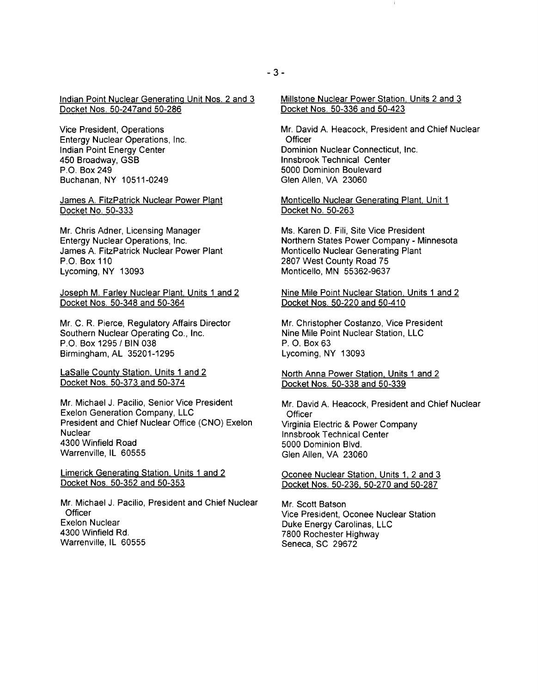Indian Point Nuclear Generating Unit Nos. 2 and 3 Docket Nos. 50-247and 50-286

Vice President, Operations Entergy Nuclear Operations, Inc. Indian Point Energy Center 450 Broadway, GSB P.O. Box 249 Buchanan, NY 10511-0249

James A. FitzPatrick Nuclear Power Plant Docket No. 50-333

Mr. Chris Adner, Licensing Manager Entergy Nuclear Operations, Inc. James A. FitzPatrick Nuclear Power Plant P.O.Box110 Lycoming, NY 13093

Joseph M. Farley Nuclear Plant, Units 1 and 2 Docket Nos. 50-348 and 50-364

Mr. C. R. Pierce, Regulatory Affairs Director Southern Nuclear Operating Co., Inc. P.O. Box 1295/ BIN 038 Birmingham, AL 35201-1295

LaSalle County Station. Units 1 and 2 Docket Nos. 50-373 and 50-374

Mr. Michael J. Pacilio, Senior Vice President Exelon Generation Company, LLC President and Chief Nuclear Office (CNO) Exelon **Nuclear** 4300 Winfield Road Warrenville, IL 60555

Limerick Generating Station. Units 1 and 2 Docket Nos. 50-352 and 50-353

Mr. Michael J. Pacilio, President and Chief Nuclear **Officer** Exelon Nuclear 4300 Winfield Rd. Warrenville, IL 60555

Mr. David A. Heacock, President and Chief Nuclear **Officer** Dominion Nuclear Connecticut, Inc. lnnsbrook Technical Center 5000 Dominion Boulevard Glen Allen, VA 23060

Monticello Nuclear Generating Plant. Unit 1 Docket No. 50-263

Ms. Karen D. Fili, Site Vice President Northern States Power Company- Minnesota Monticello Nuclear Generating Plant 2807 West County Road 75 Monticello, MN 55362-9637

Nine Mile Point Nuclear Station. Units 1 and 2 Docket Nos. 50-220 and 50-410

Mr. Christopher Costanzo, Vice President Nine Mile Point Nuclear Station, LLC P. 0. Box 63 Lycoming, NY 13093

North Anna Power Station. Units 1 and 2 Docket Nos. 50-338 and 50-339

Mr. David A. Heacock, President and Chief Nuclear **Officer** Virginia Electric & Power Company lnnsbrook Technical Center 5000 Dominion Blvd. Glen Allen, VA 23060

Oconee Nuclear Station. Units 1. 2 and 3 Docket Nos. 50-236. 50-270 and 50-287

Mr. Scott Batson Vice President, Oconee Nuclear Station Duke Energy Carolinas, LLC 7800 Rochester Highway Seneca, SC 29672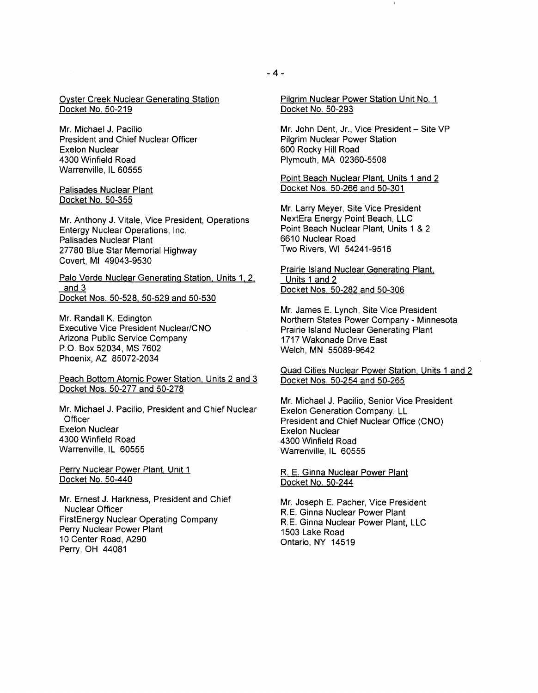### Oyster Creek Nuclear Generating Station Docket No. 50-219

Mr. Michael J. Pacilio President and Chief Nuclear Officer Exelon Nuclear 4300 Winfield Road Warrenville, IL 60555

#### Palisades Nuclear Plant Docket No. 50-355

Mr. Anthony J. Vitale, Vice President, Operations Entergy Nuclear Operations, Inc. Palisades Nuclear Plant 27780 Blue Star Memorial Highway Covert, Ml 49043-9530

Palo Verde Nuclear Generating Station. Units 1. 2. and 3 Docket Nos. 50-528. 50-529 and 50-530

Mr. Randall K. Edington Executive Vice President Nuclear/CNO Arizona Public Service Company P.O. Box 52034, MS 7602 Phoenix, AZ 85072-2034

Peach Bottom Atomic Power Station. Units 2 and 3 Docket Nos. 50-277 and 50-278

Mr. Michael J. Pacilio, President and Chief Nuclear **Officer** Exelon Nuclear 4300 Winfield Road Warrenville, IL 60555

Perry Nuclear Power Plant, Unit 1 Docket No. 50-440

Mr. Ernest J. Harkness, President and Chief Nuclear Officer FirstEnergy Nuclear Operating Company Perry Nuclear Power Plant 10 Center Road, A290 Perry, OH 44081

Pilgrim Nuclear Power Station Unit No. 1 Docket No. 50-293

Mr. John Dent, Jr., Vice President - Site VP Pilgrim Nuclear Power Station 600 Rocky Hill Road Plymouth, MA 02360-5508

Point Beach Nuclear Plant. Units 1 and 2 Docket Nos. 50-266 and 50-301

Mr. Larry Meyer, Site Vice President NextEra Energy Point Beach, LLC Point Beach Nuclear Plant, Units 1 & 2 6610 Nuclear Road Two Rivers, WI 54241-9516

Prairie Island Nuclear Generating Plant. Units 1 and 2 Docket Nos. 50-282 and 50-306

Mr. James E. Lynch, Site Vice President Northern States Power Company- Minnesota Prairie Island Nuclear Generating Plant 1717 Wakonade Drive East Welch, MN 55089-9642

Quad Cities Nuclear Power Station. Units 1 and 2 Docket Nos. 50-254 and 50-265

Mr. Michael J. Pacilio, Senior Vice President Exelon Generation Company, LL President and Chief Nuclear Office (CNO) Exelon Nuclear 4300 Winfield Road Warrenville, IL 60555

R. E. Ginna Nuclear Power Plant Docket No. 50-244

Mr. Joseph E. Pacher, Vice President R.E. Ginna Nuclear Power Plant R.E. Ginna Nuclear Power Plant, LLC 1503 Lake Road Ontario, NY 14519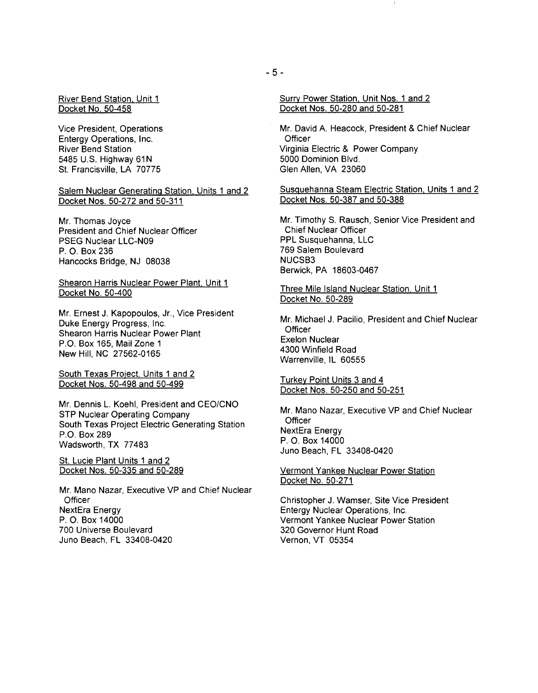#### River Bend Station. Unit 1 Docket No. 50-458

Vice President, Operations Entergy Operations, Inc. River Bend Station 5485 U.S. Highway 61N St. Francisville, LA 70775

#### Salem Nuclear Generating Station. Units 1 and 2 Docket Nos. 50-272 and 50-311

Mr. Thomas Joyce President and Chief Nuclear Officer PSEG Nuclear LLC-N09 P. 0. Box 236 Hancocks Bridge, NJ 08038

### Shearon Harris Nuclear Power Plant. Unit 1 Docket No. 50-400

Mr. Ernest J. Kapopoulos, Jr., Vice President Duke Energy Progress, Inc. Shearon Harris Nuclear Power Plant P.O. Box 165, Mail Zone 1 New Hill, NC 27562-0165

South Texas Project. Units 1 and 2 Docket Nos. 50-498 and 50-499

Mr. Dennis L. Koehl, President and CEO/CNO STP Nuclear Operating Company South Texas Project Electric Generating Station P.O. Box 289 Wadsworth, TX 77483

St. Lucie Plant Units 1 and 2 Docket Nos. 50-335 and 50-289

Mr. Mano Nazar, Executive VP and Chief Nuclear **Officer** NextEra Energy P. 0. Box 14000 700 Universe Boulevard Juno Beach, FL 33408-0420

Mr. David A. Heacock, President & Chief Nuclear **Officer** Virginia Electric & Power Company 5000 Dominion Blvd. Glen Allen, VA 23060

Susquehanna Steam Electric Station. Units 1 and 2 Docket Nos. 50-387 and 50-388

Mr. Timothy S. Rausch, Senior Vice President and Chief Nuclear Officer PPL Susquehanna, LLC 769 Salem Boulevard NUCSB3 Berwick, PA 18603-0467

Three Mile Island Nuclear Station. Unit 1 Docket No. 50-289

Mr. Michael J. Pacilio, President and Chief Nuclear **Officer** Exelon Nuclear 4300 VVinfield Road VVarrenville, IL 60555

Turkey Point Units 3 and 4 Docket Nos. 50-250 and 50-251

Mr. Mano Nazar, Executive VP and Chief Nuclear **Officer** NextEra Energy P. 0. Box 14000 Juno Beach, FL 33408-0420

#### Vermont Yankee Nuclear Power Station Docket No. 50-271

Christopher J. VVamser, Site Vice President Entergy Nuclear Operations, Inc. Vermont Yankee Nuclear Power Station 320 Governor Hunt Road Vernon, VT 05354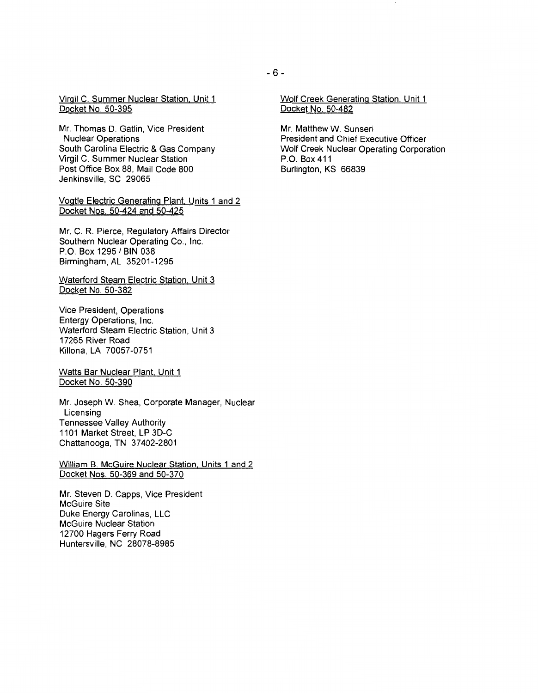Virgil C. Summer Nuclear Station. Unit 1 Docket No. 50-395

Mr. Thomas D. Gatlin, Vice President Nuclear Operations South Carolina Electric & Gas Company Virgil C. Summer Nuclear Station Post Office Box 88, Mail Code 800 Jenkinsville, SC 29065

Vogtle Electric Generating Plant. Units 1 and 2 Docket Nos. 50-424 and 50-425

Mr. C. R. Pierce, Regulatory Affairs Director Southern Nuclear Operating Co., Inc. P.O. Box 1295 / BIN 038 Birmingham, AL 35201-1295

Waterford Steam Electric Station. Unit 3 Docket No. 50-382

Vice President, Operations Entergy Operations, Inc. Waterford Steam Electric Station, Unit 3 17265 River Road Killona, LA 70057-0751

Watts Bar Nuclear Plant. Unit 1 Docket No. 50-390

Mr. Joseph W. Shea, Corporate Manager, Nuclear Licensing Tennessee Valley Authority 1101 Market Street, LP 3D-C Chattanooga, TN 37402-2801

William B. McGuire Nuclear Station. Units 1 and 2 Docket Nos. 50-369 and 50-370

Mr. Steven D. Capps, Vice President McGuire Site Duke Energy Carolinas, LLC McGuire Nuclear Station 12700 Hagers Ferry Road Huntersville, NC 28078-8985

Mr. Matthew W. Sunseri President and Chief Executive Officer Wolf Creek Nuclear Operating Corporation P.O. Box 411 Burlington, KS 66839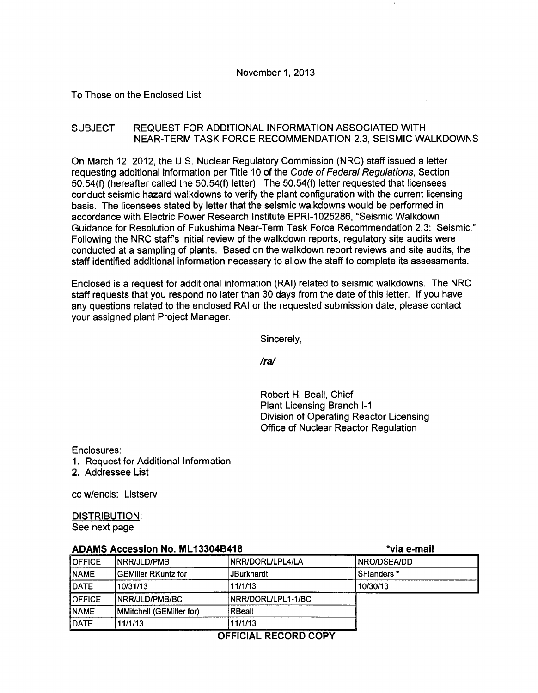## To Those on the Enclosed List

## SUBJECT: REQUEST FOR ADDITIONAL INFORMATION ASSOCIATED WITH NEAR-TERM TASK FORCE RECOMMENDATION 2.3, SEISMIC WALKDOWNS

On March 12, 2012, the U.S. Nuclear Regulatory Commission (NRC) staff issued a letter requesting additional information per Title 10 of the Code of Federal Regulations, Section 50.54(f) (hereafter called the 50.54(f) letter). The 50.54(f) letter requested that licensees conduct seismic hazard walkdowns to verify the plant configuration with the current licensing basis. The licensees stated by letter that the seismic walkdowns would be performed in accordance with Electric Power Research Institute EPRI-1025286, "Seismic Walkdown Guidance for Resolution of Fukushima Near-Term Task Force Recommendation 2.3: Seismic." Following the NRC staff's initial review of the walkdown reports, regulatory site audits were conducted at a sampling of plants. Based on the walkdown report reviews and site audits, the staff identified additional information necessary to allow the staff to complete its assessments.

Enclosed is a request for additional information (RAI) related to seismic walkdowns. The NRC staff requests that you respond no later than 30 days from the date of this letter. If you have any questions related to the enclosed RAI or the requested submission date, please contact your assigned plant Project Manager.

Sincerely,

*Ira/* 

Robert H. Beall, Chief Plant Licensing Branch 1-1 Division of Operating Reactor Licensing Office of Nuclear Reactor Regulation

Enclosures:

- 1. Request for Additional Information
- 2. Addressee List

cc w/encls: Listserv

DISTRIBUTION: See next page

| ADAMS ACCESSION NO. ML 13304D410 |                          |                          | ⊤via e-mair   |
|----------------------------------|--------------------------|--------------------------|---------------|
| <b>OFFICE</b>                    | <b>INRR/JLD/PMB</b>      | <b>INRR/DORL/LPL4/LA</b> | INRO/DSEA/DD  |
| NAME                             | l GEMiller RKuntz for    | <b>JBurkhardt</b>        | l SFlanders * |
| DATE                             | 10/31/13                 | 11/1/13                  | 10/30/13      |
| <b>OFFICE</b>                    | INRR/JLD/PMB/BC          | NRR/DORL/LPL1-1/BC I     |               |
| NAME <sup>[</sup>                | MMitchell (GEMiller for) | ∣RBeall                  |               |
| DATE                             | 11/1/13                  | 11/1/13                  |               |

ADAMS Accession No. ML 133048418 \*via e-mail

OFFICIAL RECORD COPY